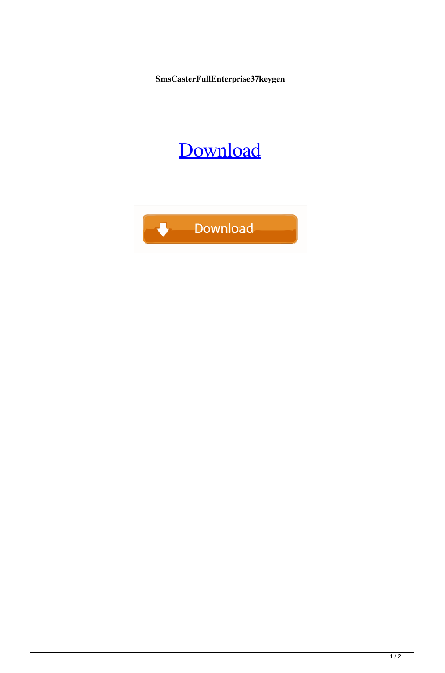**SmsCasterFullEnterprise37keygen**

## [Download](http://evacdir.com/agitates.feorm/U21zQ2FzdGVyRnVsbEVudGVycHJpc2UzN2tleWdlbgU21/heaviness/freewheeling/instantfreecars.tiggo/ZG93bmxvYWR8dmcwTVhGeWMzeDhNVFkxTWpRMk16QTFNSHg4TWpVM05IeDhLRTBwSUhKbFlXUXRZbXh2WnlCYlJtRnpkQ0JIUlU1ZA.skbr)